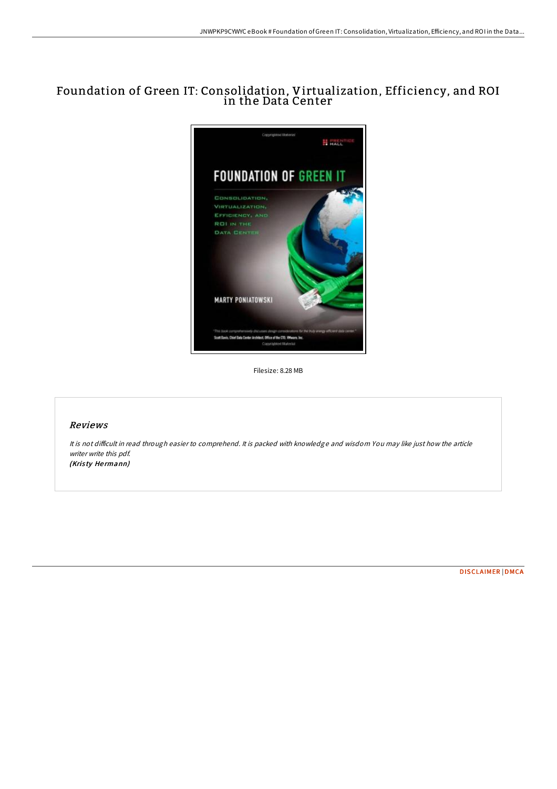# Foundation of Green IT: Consolidation, Virtualization, Efficiency, and ROI in the Data Center



Filesize: 8.28 MB

## Reviews

It is not difficult in read through easier to comprehend. It is packed with knowledge and wisdom You may like just how the article writer write this pdf. (Kristy Hermann)

[DISCLAIMER](http://almighty24.tech/disclaimer.html) | [DMCA](http://almighty24.tech/dmca.html)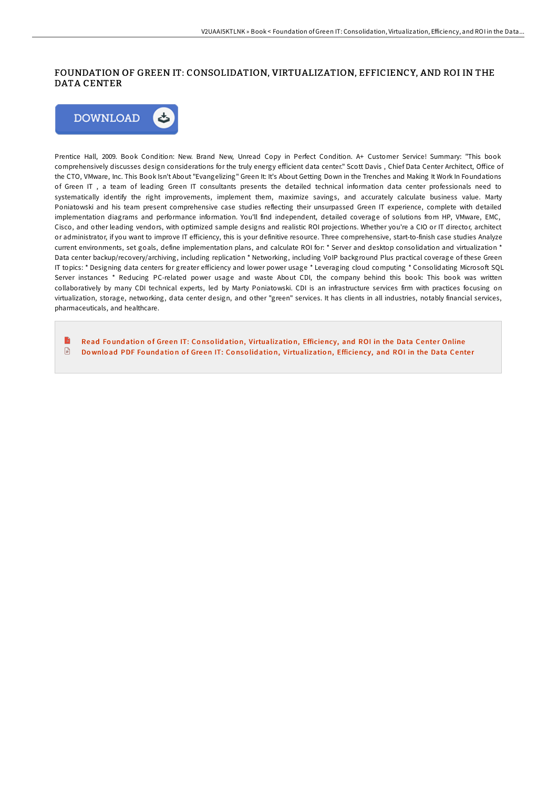# FOUNDATION OF GREEN IT: CONSOLIDATION, VIRTUALIZATION, EFFICIENCY, AND ROI IN THE DATA CENTER



Prentice Hall, 2009. Book Condition: New. Brand New, Unread Copy in Perfect Condition. A+ Customer Service! Summary: "This book comprehensively discusses design considerations for the truly energy efficient data center." Scott Davis, Chief Data Center Architect, Office of the CTO, VMware, Inc. This Book Isn't About "Evangelizing" Green It: It's About Getting Down in the Trenches and Making It Work In Foundations of Green IT , a team of leading Green IT consultants presents the detailed technical information data center professionals need to systematically identify the right improvements, implement them, maximize savings, and accurately calculate business value. Marty Poniatowski and his team present comprehensive case studies reflecting their unsurpassed Green IT experience, complete with detailed implementation diagrams and performance information. You'll find independent, detailed coverage of solutions from HP, VMware, EMC, Cisco, and other leading vendors, with optimized sample designs and realistic ROI projections. Whether you're a CIO or IT director, architect or administrator, if you want to improve IT efficiency, this is your definitive resource. Three comprehensive, start-to-finish case studies Analyze current environments, set goals, define implementation plans, and calculate ROI for: \* Server and desktop consolidation and virtualization \* Data center backup/recovery/archiving, including replication \* Networking, including VoIP background Plus practical coverage of these Green IT topics: \* Designing data centers for greater efficiency and lower power usage \* Leveraging cloud computing \* Consolidating Microsoft SQL Server instances \* Reducing PC-related power usage and waste About CDI, the company behind this book: This book was written collaboratively by many CDI technical experts, led by Marty Poniatowski. CDI is an infrastructure services firm with practices focusing on virtualization, storage, networking, data center design, and other "green" services. It has clients in all industries, notably financial services, pharmaceuticals, and healthcare.

Read Foundation of Green IT: Consolidation, [Virtualizatio](http://almighty24.tech/foundation-of-green-it-consolidation-virtualizat.html)n, Efficiency, and ROI in the Data Center Online  $\begin{array}{c} \hline \end{array}$ Download PDF Foundation of Green IT: Consolidation, [Virtualizatio](http://almighty24.tech/foundation-of-green-it-consolidation-virtualizat.html)n, Efficiency, and ROI in the Data Center